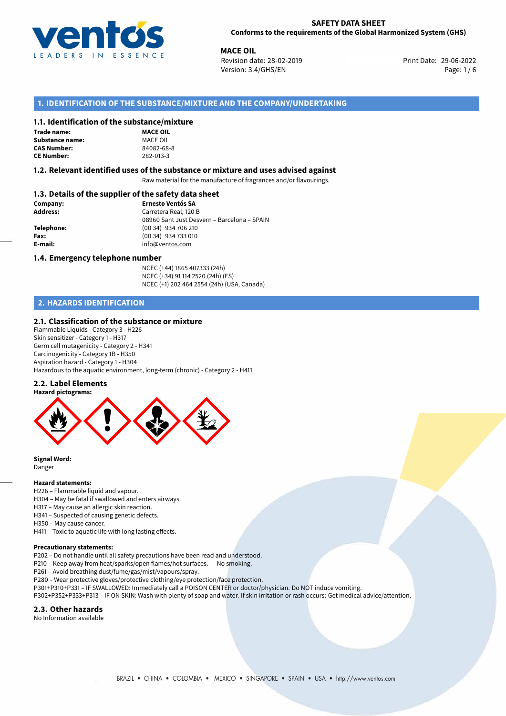

**MACE OIL**<br>29-06-2022 **Revision date: 28-02-2019** Print Date: 29-06-2022 Version: 3.4/GHS/EN Page: 1 / 6

# **1. IDENTIFICATION OF THE SUBSTANCE/MIXTURE AND THE COMPANY/UNDERTAKING**

#### **1.1. Identification of the substance/mixture**

| Trade name:            |
|------------------------|
| <b>Substance name:</b> |
| <b>CAS Number:</b>     |
| <b>CE Number:</b>      |

**MACE OIL Substance name:** MACE OIL **CAS Number:** 84082-68-8 **CE Number:** 282-013-3

#### **1.2. Relevant identified uses of the substance or mixture and uses advised against**

Raw material for the manufacture of fragrances and/or flavourings.

### **1.3. Details of the supplier of the safety data sheet**

| Company:        | <b>Ernesto Ventós SA</b>                    |  |
|-----------------|---------------------------------------------|--|
| <b>Address:</b> | Carretera Real, 120 B                       |  |
|                 | 08960 Sant Just Desvern - Barcelona - SPAIN |  |
| Telephone:      | (00 34) 934 706 210                         |  |
| Fax:            | (00 34) 934 733 010                         |  |
| E-mail:         | info@ventos.com                             |  |
|                 |                                             |  |

#### **1.4. Emergency telephone number**

NCEC (+44) 1865 407333 (24h) NCEC (+34) 91 114 2520 (24h) (ES) NCEC (+1) 202 464 2554 (24h) (USA, Canada)

# **2. HAZARDS IDENTIFICATION**

#### **2.1. Classification of the substance or mixture**

Flammable Liquids - Category 3 - H226 Skin sensitizer - Category 1 - H317 Germ cell mutagenicity - Category 2 - H341 Carcinogenicity - Category 1B - H350 Aspiration hazard - Category 1 - H304 Hazardous to the aquatic environment, long-term (chronic) - Category 2 - H411

#### **2.2. Label Elements**



**Signal Word:** Danger

#### **Hazard statements:**

- H226 Flammable liquid and vapour.
- H304 May be fatal if swallowed and enters airways.
- H317 May cause an allergic skin reaction.
- H341 Suspected of causing genetic defects.
- H350 May cause cancer.
- H411 Toxic to aquatic life with long lasting effects.

#### **Precautionary statements:**

P202 – Do not handle until all safety precautions have been read and understood.

P210 – Keep away from heat/sparks/open flames/hot surfaces. — No smoking.

P261 – Avoid breathing dust/fume/gas/mist/vapours/spray.

- P280 Wear protective gloves/protective clothing/eye protection/face protection.
- P301+P310+P331 IF SWALLOWED: Immediately call a POISON CENTER or doctor/physician. Do NOT induce vomiting.
- P302+P352+P333+P313 IF ON SKIN: Wash with plenty of soap and water. If skin irritation or rash occurs: Get medical advice/attention.

#### **2.3. Other hazards**

No Information available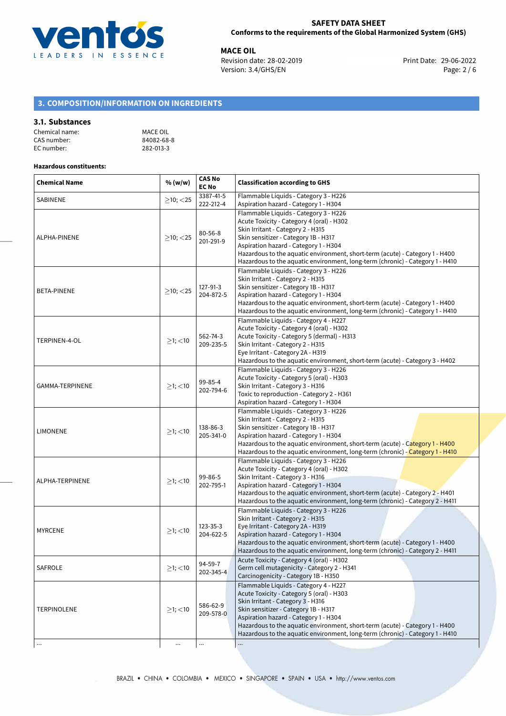

**MACE OIL**<br>
Revision date: 28-02-2019 **Print Date: 29-06-2022** Version: 3.4/GHS/EN Page: 2 / 6

# **3. COMPOSITION/INFORMATION ON INGREDIENTS**

#### **3.1. Substances**

| Chemical name: | MACE OIL   |
|----------------|------------|
| CAS number:    | 84082-68-8 |
| EC number:     | 282-013-3  |

# **Hazardous constituents:**

| <b>Chemical Name</b> | % (w/w)        | <b>CAS No</b><br><b>EC No</b> | <b>Classification according to GHS</b>                                                                                                                                                                                                                                                                                                                                    |
|----------------------|----------------|-------------------------------|---------------------------------------------------------------------------------------------------------------------------------------------------------------------------------------------------------------------------------------------------------------------------------------------------------------------------------------------------------------------------|
| SABINENE             | $\geq$ 10; <25 | 3387-41-5<br>222-212-4        | Flammable Liquids - Category 3 - H226<br>Aspiration hazard - Category 1 - H304                                                                                                                                                                                                                                                                                            |
| ALPHA-PINENE         | $>10$ ; < 25   | $80 - 56 - 8$<br>201-291-9    | Flammable Liquids - Category 3 - H226<br>Acute Toxicity - Category 4 (oral) - H302<br>Skin Irritant - Category 2 - H315<br>Skin sensitizer - Category 1B - H317<br>Aspiration hazard - Category 1 - H304<br>Hazardous to the aquatic environment, short-term (acute) - Category 1 - H400<br>Hazardous to the aquatic environment, long-term (chronic) - Category 1 - H410 |
| <b>BETA-PINENE</b>   | $>10$ ; $<$ 25 | 127-91-3<br>204-872-5         | Flammable Liquids - Category 3 - H226<br>Skin Irritant - Category 2 - H315<br>Skin sensitizer - Category 1B - H317<br>Aspiration hazard - Category 1 - H304<br>Hazardous to the aquatic environment, short-term (acute) - Category 1 - H400<br>Hazardous to the aquatic environment, long-term (chronic) - Category 1 - H410                                              |
| TERPINEN-4-OL        | $≥1;$ < 10     | 562-74-3<br>209-235-5         | Flammable Liquids - Category 4 - H227<br>Acute Toxicity - Category 4 (oral) - H302<br>Acute Toxicity - Category 5 (dermal) - H313<br>Skin Irritant - Category 2 - H315<br>Eye Irritant - Category 2A - H319<br>Hazardous to the aquatic environment, short-term (acute) - Category 3 - H402                                                                               |
| GAMMA-TERPINENE      | $≥1;$ < 10     | 99-85-4<br>202-794-6          | Flammable Liquids - Category 3 - H226<br>Acute Toxicity - Category 5 (oral) - H303<br>Skin Irritant - Category 3 - H316<br>Toxic to reproduction - Category 2 - H361<br>Aspiration hazard - Category 1 - H304                                                                                                                                                             |
| <b>LIMONENE</b>      | $\geq$ 1; <10  | 138-86-3<br>205-341-0         | Flammable Liquids - Category 3 - H226<br>Skin Irritant - Category 2 - H315<br>Skin sensitizer - Category 1B - H317<br>Aspiration hazard - Category 1 - H304<br>Hazardous to the aquatic environment, short-term (acute) - Category 1 - H400<br>Hazardous to the aquatic environment, long-term (chronic) - Category 1 - H410                                              |
| ALPHA-TERPINENE      | $≥1;$ < 10     | 99-86-5<br>202-795-1          | Flammable Liquids - Category 3 - H226<br>Acute Toxicity - Category 4 (oral) - H302<br>Skin Irritant - Category 3 - H316<br>Aspiration hazard - Category 1 - H304<br>Hazardous to the aquatic environment, short-term (acute) - Category 2 - H401<br>Hazardous to the aquatic environment, long-term (chronic) - Category 2 - H411                                         |
| <b>MYRCENE</b>       | $\geq$ 1; <10  | 123-35-3<br>204-622-5         | Flammable Liquids - Category 3 - H226<br>Skin Irritant - Category 2 - H315<br>Eye Irritant - Category 2A - H319<br>Aspiration hazard - Category 1 - H304<br>Hazardous to the aquatic environment, short-term (acute) - Category 1 - H400<br>Hazardous to the aquatic environment, long-term (chronic) - Category 2 - H411                                                 |
| <b>SAFROLE</b>       | $>1$ ; $<$ 10  | 94-59-7<br>202-345-4          | Acute Toxicity - Category 4 (oral) - H302<br>Germ cell mutagenicity - Category 2 - H341<br>Carcinogenicity - Category 1B - H350                                                                                                                                                                                                                                           |
| <b>TERPINOLENE</b>   | $≥1;$ < 10     | 586-62-9<br>209-578-0         | Flammable Liquids - Category 4 - H227<br>Acute Toxicity - Category 5 (oral) - H303<br>Skin Irritant - Category 3 - H316<br>Skin sensitizer - Category 1B - H317<br>Aspiration hazard - Category 1 - H304<br>Hazardous to the aquatic environment, short-term (acute) - Category 1 - H400<br>Hazardous to the aquatic environment, long-term (chronic) - Category 1 - H410 |
| $\cdots$             | $\ldots$       | $\ldots$                      |                                                                                                                                                                                                                                                                                                                                                                           |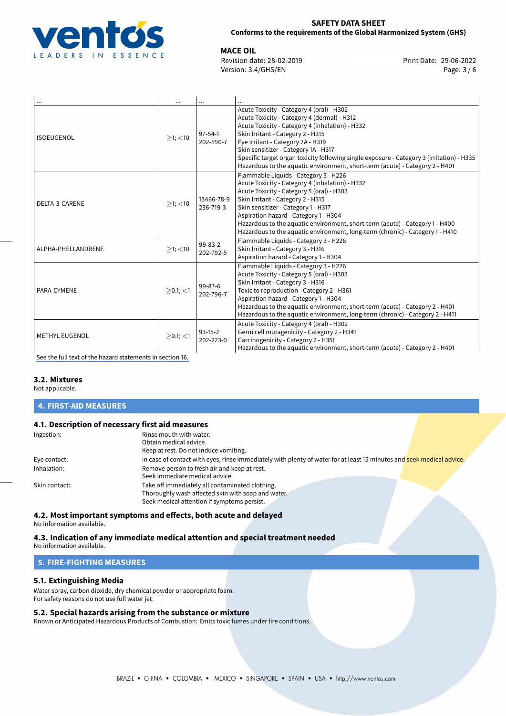

**MACE OIL**<br>
Revision date: 28-02-2019 **Print Date: 29-06-2022** Version: 3.4/GHS/EN Page: 3 / 6

| $\cdots$              | $\cdots$      |                            |                                                                                                                                                                                                                                                                                                                                                                                                                                            |
|-----------------------|---------------|----------------------------|--------------------------------------------------------------------------------------------------------------------------------------------------------------------------------------------------------------------------------------------------------------------------------------------------------------------------------------------------------------------------------------------------------------------------------------------|
| <b>ISOEUGENOL</b>     | $>1$ ; $<$ 10 | $97 - 54 - 1$<br>202-590-7 | Acute Toxicity - Category 4 (oral) - H302<br>Acute Toxicity - Category 4 (dermal) - H312<br>Acute Toxicity - Category 4 (inhalation) - H332<br>Skin Irritant - Category 2 - H315<br>Eye Irritant - Category 2A - H319<br>Skin sensitizer - Category 1A - H317<br>Specific target organ toxicity following single exposure - Category 3 (irritation) - H335<br>Hazardous to the aquatic environment, short-term (acute) - Category 2 - H401 |
| DELTA-3-CARENE        | $>1$ ; $<$ 10 | 13466-78-9<br>236-719-3    | Flammable Liquids - Category 3 - H226<br>Acute Toxicity - Category 4 (inhalation) - H332<br>Acute Toxicity - Category 5 (oral) - H303<br>Skin Irritant - Category 2 - H315<br>Skin sensitizer - Category 1 - H317<br>Aspiration hazard - Category 1 - H304<br>Hazardous to the aquatic environment, short-term (acute) - Category 1 - H400<br>Hazardous to the aquatic environment, long-term (chronic) - Category 1 - H410                |
| ALPHA-PHELLANDRENE    | $>1$ ; $<$ 10 | 99-83-2<br>202-792-5       | Flammable Liquids - Category 3 - H226<br>Skin Irritant - Category 3 - H316<br>Aspiration hazard - Category 1 - H304                                                                                                                                                                                                                                                                                                                        |
| PARA-CYMENE           | $>0.1$ ; <1   | 99-87-6<br>202-796-7       | Flammable Liquids - Category 3 - H226<br>Acute Toxicity - Category 5 (oral) - H303<br>Skin Irritant - Category 3 - H316<br>Toxic to reproduction - Category 2 - H361<br>Aspiration hazard - Category 1 - H304<br>Hazardous to the aquatic environment, short-term (acute) - Category 2 - H401<br>Hazardous to the aquatic environment, long-term (chronic) - Category 2 - H411                                                             |
| <b>METHYL EUGENOL</b> | $>0.1$ ; <1   | $93-15-2$<br>202-223-0     | Acute Toxicity - Category 4 (oral) - H302<br>Germ cell mutagenicity - Category 2 - H341<br>Carcinogenicity - Category 2 - H351<br>Hazardous to the aquatic environment, short-term (acute) - Category 2 - H401                                                                                                                                                                                                                             |

[See the full text of the hazard statements in section 16.](#page-5-0)

#### **3.2. Mixtures**

Not applicable.

#### **4. FIRST-AID MEASURES**

#### **4.1. Description of necessary first aid measures**

| Ingestion:    | Rinse mouth with water.<br>Obtain medical advice.                                                                                                    |
|---------------|------------------------------------------------------------------------------------------------------------------------------------------------------|
|               | Keep at rest. Do not induce vomiting.                                                                                                                |
| Eye contact:  | In case of contact with eyes, rinse immediately with plenty of water for at least 15 minutes and seek medical advice.                                |
| Inhalation:   | Remove person to fresh air and keep at rest.<br>Seek immediate medical advice.                                                                       |
| Skin contact: | Take off immediately all contaminated clothing.<br>Thoroughly wash affected skin with soap and water.<br>Seek medical attention if symptoms persist. |

# **4.2. Most important symptoms and effects, both acute and delayed**

No information available.

# **4.3. Indication of any immediate medical attention and special treatment needed**

No information available.

# **5. FIRE-FIGHTING MEASURES**

# **5.1. Extinguishing Media**

Water spray, carbon dioxide, dry chemical powder or appropriate foam. For safety reasons do not use full water jet.

#### **5.2. Special hazards arising from the substance or mixture**

Known or Anticipated Hazardous Products of Combustion: Emits toxic fumes under fire conditions.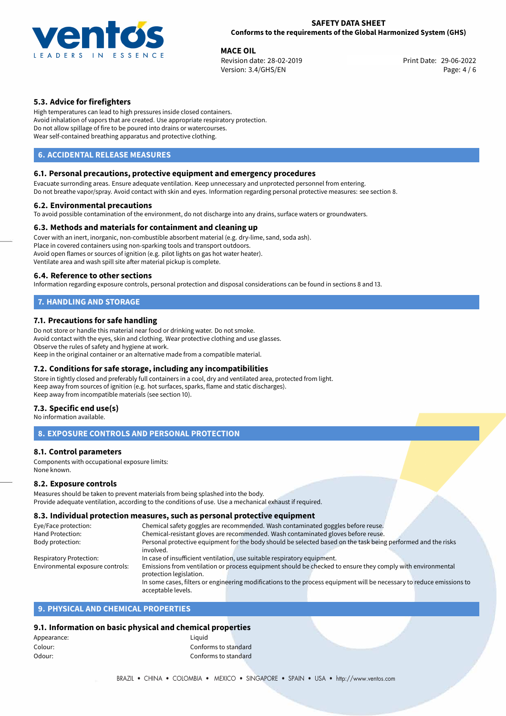

**MACE OIL**<br>
Revision date: 28-02-2019 **Print Date: 29-06-2022** Version: 3.4/GHS/EN Page: 4 / 6

# **5.3. Advice for firefighters**

High temperatures can lead to high pressures inside closed containers. Avoid inhalation of vapors that are created. Use appropriate respiratory protection. Do not allow spillage of fire to be poured into drains or watercourses. Wear self-contained breathing apparatus and protective clothing.

# **6. ACCIDENTAL RELEASE MEASURES**

### **6.1. Personal precautions, protective equipment and emergency procedures**

Evacuate surronding areas. Ensure adequate ventilation. Keep unnecessary and unprotected personnel from entering. Do not breathe vapor/spray. Avoid contact with skin and eyes. Information regarding personal protective measures: see section 8.

#### **6.2. Environmental precautions**

To avoid possible contamination of the environment, do not discharge into any drains, surface waters or groundwaters.

#### **6.3. Methods and materials for containment and cleaning up**

Cover with an inert, inorganic, non-combustible absorbent material (e.g. dry-lime, sand, soda ash). Place in covered containers using non-sparking tools and transport outdoors. Avoid open flames or sources of ignition (e.g. pilot lights on gas hot water heater). Ventilate area and wash spill site after material pickup is complete.

#### **6.4. Reference to other sections**

Information regarding exposure controls, personal protection and disposal considerations can be found in sections 8 and 13.

# **7. HANDLING AND STORAGE**

#### **7.1. Precautions for safe handling**

Do not store or handle this material near food or drinking water. Do not smoke. Avoid contact with the eyes, skin and clothing. Wear protective clothing and use glasses. Observe the rules of safety and hygiene at work. Keep in the original container or an alternative made from a compatible material.

# **7.2. Conditions for safe storage, including any incompatibilities**

Store in tightly closed and preferably full containers in a cool, dry and ventilated area, protected from light. Keep away from sources of ignition (e.g. hot surfaces, sparks, flame and static discharges). Keep away from incompatible materials (see section 10).

#### **7.3. Specific end use(s)**

No information available.

#### **8. EXPOSURE CONTROLS AND PERSONAL PROTECTION**

#### **8.1. Control parameters**

Components with occupational exposure limits: None known.

#### **8.2. Exposure controls**

Measures should be taken to prevent materials from being splashed into the body. Provide adequate ventilation, according to the conditions of use. Use a mechanical exhaust if required.

## **8.3. Individual protection measures, such as personal protective equipment**

| Eye/Face protection:             |                         | Chemical safety goggles are recommended. Wash contaminated goggles before reuse.                                      |
|----------------------------------|-------------------------|-----------------------------------------------------------------------------------------------------------------------|
| Hand Protection:                 |                         | Chemical-resistant gloves are recommended. Wash contaminated gloves before reuse.                                     |
| Body protection:                 |                         | Personal protective equipment for the body should be selected based on the task being performed and the risks         |
|                                  | involved.               |                                                                                                                       |
| Respiratory Protection:          |                         | In case of insufficient ventilation, use suitable respiratory equipment.                                              |
| Environmental exposure controls: |                         | Emissions from ventilation or process equipment should be checked to ensure they comply with environmental            |
|                                  | protection legislation. |                                                                                                                       |
|                                  |                         | In some cases, filters or engineering modifications to the process equipment will be necessary to reduce emissions to |
|                                  | acceptable levels.      |                                                                                                                       |

#### **9. PHYSICAL AND CHEMICAL PROPERTIES**

#### **9.1. Information on basic physical and chemical properties**

| Appearance: | Liauid               |  |
|-------------|----------------------|--|
| Colour:     | Conforms to standard |  |
| Odour:      | Conforms to standard |  |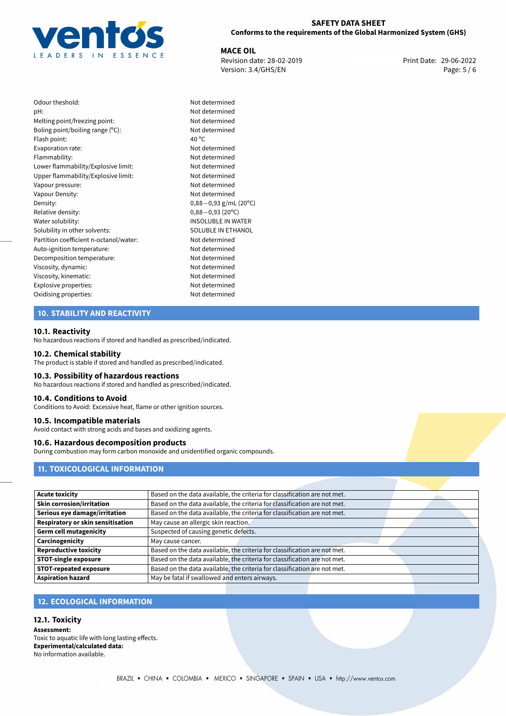

Not determined Not determined Not determined Not determined

Not determined Not determined Not determined Upper flammability/Explosive limit: Not determined Not determined Not determined Density: 0,88*−*0,93 g/mL (20ºC) Relative density: 0,88*−*0,93 (20ºC) INSOLUBLE IN WATER SOLUBLE IN ETHANOL Not determined Not determined Not determined Not determined Not determined Explosive properties: Not determined Not determined

**MACE OIL**<br>
Revision date: 28-02-2019 **Print Date: 29-06-2022** Version: 3.4/GHS/EN Page: 5 / 6

| Odour theshold:                        | Not c           |
|----------------------------------------|-----------------|
| pH:                                    | Not c           |
| Melting point/freezing point:          | Not c           |
| Boling point/boiling range $(°C)$ :    | Not c           |
| Flash point:                           | 40 $^{\circ}$ C |
| Evaporation rate:                      | Not c           |
| Flammability:                          | Not c           |
| Lower flammability/Explosive limit:    | Not c           |
| Upper flammability/Explosive limit:    | Not c           |
| Vapour pressure:                       | Not c           |
| Vapour Density:                        | Not c           |
| Density:                               | $0,88-$         |
| Relative density:                      | $0,88-$         |
| Water solubility:                      | <b>INSO</b>     |
| Solubility in other solvents:          | SOLL            |
| Partition coefficient n-octanol/water: | Not c           |
| Auto-ignition temperature:             | Not c           |
| Decomposition temperature:             | Not c           |
| Viscosity, dynamic:                    | Not c           |
| Viscosity, kinematic:                  | Not c           |
| Explosive properties:                  | Not c           |
| Oxidising properties:                  | Not c           |
|                                        |                 |

# **10. STABILITY AND REACTIVITY**

#### **10.1. Reactivity**

No hazardous reactions if stored and handled as prescribed/indicated.

#### **10.2. Chemical stability**

The product is stable if stored and handled as prescribed/indicated.

### **10.3. Possibility of hazardous reactions**

No hazardous reactions if stored and handled as prescribed/indicated.

#### **10.4. Conditions to Avoid**

Conditions to Avoid: Excessive heat, flame or other ignition sources.

#### **10.5. Incompatible materials**

Avoid contact with strong acids and bases and oxidizing agents.

#### **10.6. Hazardous decomposition products**

During combustion may form carbon monoxide and unidentified organic compounds.

## **11. TOXICOLOGICAL INFORMATION**

| <b>Acute toxicity</b>             | Based on the data available, the criteria for classification are not met. |  |  |
|-----------------------------------|---------------------------------------------------------------------------|--|--|
| Skin corrosion/irritation         | Based on the data available, the criteria for classification are not met. |  |  |
| Serious eye damage/irritation     | Based on the data available, the criteria for classification are not met. |  |  |
| Respiratory or skin sensitisation | May cause an allergic skin reaction.                                      |  |  |
| Germ cell mutagenicity            | Suspected of causing genetic defects.                                     |  |  |
| Carcinogenicity                   | May cause cancer.                                                         |  |  |
| <b>Reproductive toxicity</b>      | Based on the data available, the criteria for classification are not met. |  |  |
| STOT-single exposure              | Based on the data available, the criteria for classification are not met. |  |  |
| <b>STOT-repeated exposure</b>     | Based on the data available, the criteria for classification are not met. |  |  |
| <b>Aspiration hazard</b>          | May be fatal if swallowed and enters airways.                             |  |  |

# **12. ECOLOGICAL INFORMATION**

#### **12.1. Toxicity**

**Assessment:** Toxic to aquatic life with long lasting effects. **Experimental/calculated data:** No information available.